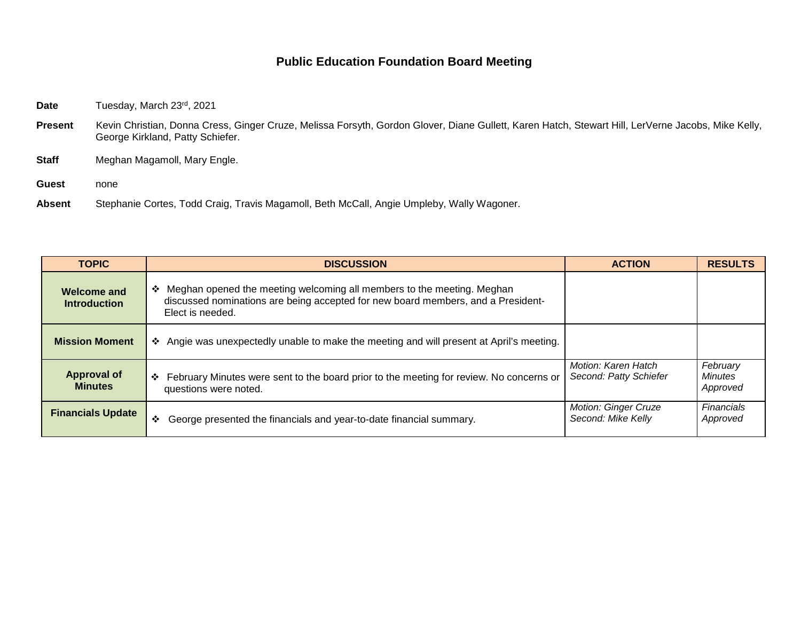## **Public Education Foundation Board Meeting**

Date Tuesday, March 23rd, 2021

- Present Kevin Christian, Donna Cress, Ginger Cruze, Melissa Forsyth, Gordon Glover, Diane Gullett, Karen Hatch, Stewart Hill, LerVerne Jacobs, Mike Kelly, George Kirkland, Patty Schiefer.
- **Staff** Meghan Magamoll, Mary Engle.
- **Guest** none
- **Absent** Stephanie Cortes, Todd Craig, Travis Magamoll, Beth McCall, Angie Umpleby, Wally Wagoner.

| <b>TOPIC</b>                         | <b>DISCUSSION</b>                                                                                                                                                                | <b>ACTION</b>                                     | <b>RESULTS</b>                         |
|--------------------------------------|----------------------------------------------------------------------------------------------------------------------------------------------------------------------------------|---------------------------------------------------|----------------------------------------|
| Welcome and<br><b>Introduction</b>   | ❖ Meghan opened the meeting welcoming all members to the meeting. Meghan<br>discussed nominations are being accepted for new board members, and a President-<br>Elect is needed. |                                                   |                                        |
| <b>Mission Moment</b>                | ❖ Angie was unexpectedly unable to make the meeting and will present at April's meeting.                                                                                         |                                                   |                                        |
| <b>Approval of</b><br><b>Minutes</b> | ❖ February Minutes were sent to the board prior to the meeting for review. No concerns or<br>questions were noted.                                                               | Motion: Karen Hatch<br>Second: Patty Schiefer     | February<br><b>Minutes</b><br>Approved |
| <b>Financials Update</b>             | George presented the financials and year-to-date financial summary.<br>❖                                                                                                         | <b>Motion: Ginger Cruze</b><br>Second: Mike Kelly | <b>Financials</b><br>Approved          |